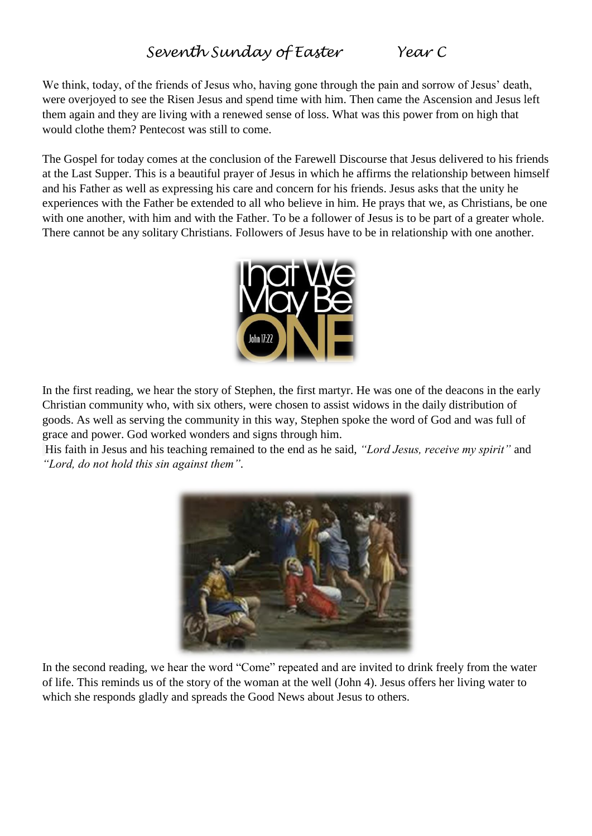## *Seventh Sunday of Easter Year C*

We think, today, of the friends of Jesus who, having gone through the pain and sorrow of Jesus' death, were overjoyed to see the Risen Jesus and spend time with him. Then came the Ascension and Jesus left them again and they are living with a renewed sense of loss. What was this power from on high that would clothe them? Pentecost was still to come.

The Gospel for today comes at the conclusion of the Farewell Discourse that Jesus delivered to his friends at the Last Supper. This is a beautiful prayer of Jesus in which he affirms the relationship between himself and his Father as well as expressing his care and concern for his friends. Jesus asks that the unity he experiences with the Father be extended to all who believe in him. He prays that we, as Christians, be one with one another, with him and with the Father. To be a follower of Jesus is to be part of a greater whole. There cannot be any solitary Christians. Followers of Jesus have to be in relationship with one another.



In the first reading, we hear the story of Stephen, the first martyr. He was one of the deacons in the early Christian community who, with six others, were chosen to assist widows in the daily distribution of goods. As well as serving the community in this way, Stephen spoke the word of God and was full of grace and power. God worked wonders and signs through him.

His faith in Jesus and his teaching remained to the end as he said, *"Lord Jesus, receive my spirit"* and *"Lord, do not hold this sin against them".*



In the second reading, we hear the word "Come" repeated and are invited to drink freely from the water of life. This reminds us of the story of the woman at the well (John 4). Jesus offers her living water to which she responds gladly and spreads the Good News about Jesus to others.